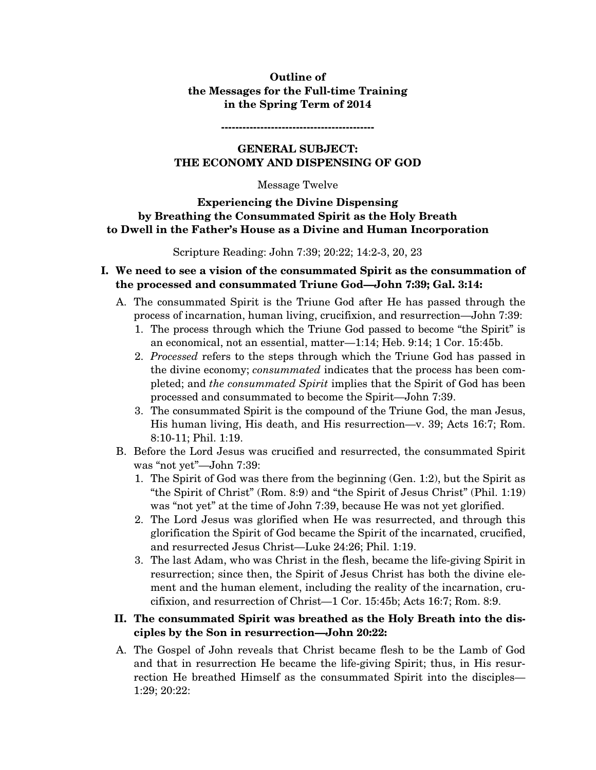# **Outline of the Messages for the Full-time Training in the Spring Term of 2014**

**-------------------------------------------** 

# **GENERAL SUBJECT: THE ECONOMY AND DISPENSING OF GOD**

#### Message Twelve

### **Experiencing the Divine Dispensing by Breathing the Consummated Spirit as the Holy Breath to Dwell in the Father's House as a Divine and Human Incorporation**

Scripture Reading: John 7:39; 20:22; 14:2-3, 20, 23

# **I. We need to see a vision of the consummated Spirit as the consummation of the processed and consummated Triune God—John 7:39; Gal. 3:14:**

- A. The consummated Spirit is the Triune God after He has passed through the process of incarnation, human living, crucifixion, and resurrection—John 7:39:
	- 1. The process through which the Triune God passed to become "the Spirit" is an economical, not an essential, matter—1:14; Heb. 9:14; 1 Cor. 15:45b.
	- 2. *Processed* refers to the steps through which the Triune God has passed in the divine economy; *consummated* indicates that the process has been completed; and *the consummated Spirit* implies that the Spirit of God has been processed and consummated to become the Spirit—John 7:39.
	- 3. The consummated Spirit is the compound of the Triune God, the man Jesus, His human living, His death, and His resurrection—v. 39; Acts 16:7; Rom. 8:10-11; Phil. 1:19.
- B. Before the Lord Jesus was crucified and resurrected, the consummated Spirit was "not yet"—John 7:39:
	- 1. The Spirit of God was there from the beginning (Gen. 1:2), but the Spirit as "the Spirit of Christ" (Rom. 8:9) and "the Spirit of Jesus Christ" (Phil. 1:19) was "not yet" at the time of John 7:39, because He was not yet glorified.
	- 2. The Lord Jesus was glorified when He was resurrected, and through this glorification the Spirit of God became the Spirit of the incarnated, crucified, and resurrected Jesus Christ—Luke 24:26; Phil. 1:19.
	- 3. The last Adam, who was Christ in the flesh, became the life-giving Spirit in resurrection; since then, the Spirit of Jesus Christ has both the divine element and the human element, including the reality of the incarnation, crucifixion, and resurrection of Christ—1 Cor. 15:45b; Acts 16:7; Rom. 8:9.

### **II. The consummated Spirit was breathed as the Holy Breath into the disciples by the Son in resurrection—John 20:22:**

A. The Gospel of John reveals that Christ became flesh to be the Lamb of God and that in resurrection He became the life-giving Spirit; thus, in His resurrection He breathed Himself as the consummated Spirit into the disciples— 1:29; 20:22: